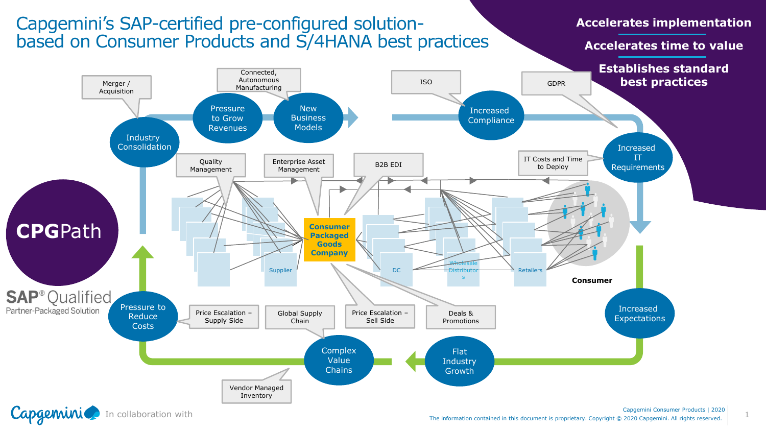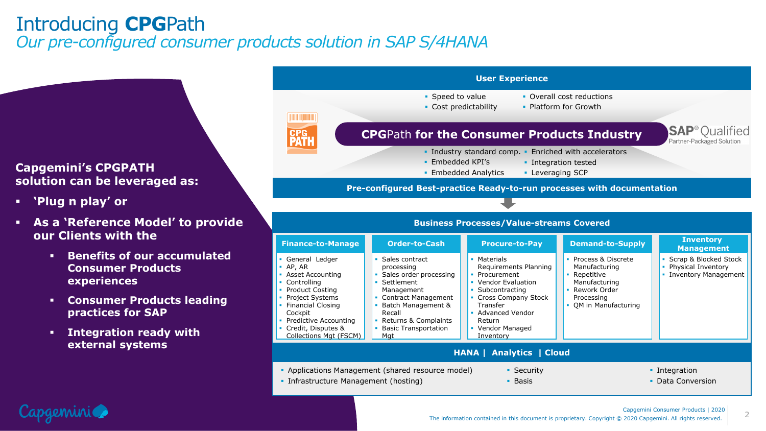# Introducing **CPG**Path *Our pre-configured consumer products solution in SAP S/4HANA*

### **Capgemini's CPGPATH solution can be leveraged as:**

▪ **'Plug n play' or** 

Capgeminic

- **As a 'Reference Model' to provide our Clients with the**
	- **Benefits of our accumulated Consumer Products experiences**
	- **Consumer Products leading practices for SAP**
	- **Integration ready with external systems**